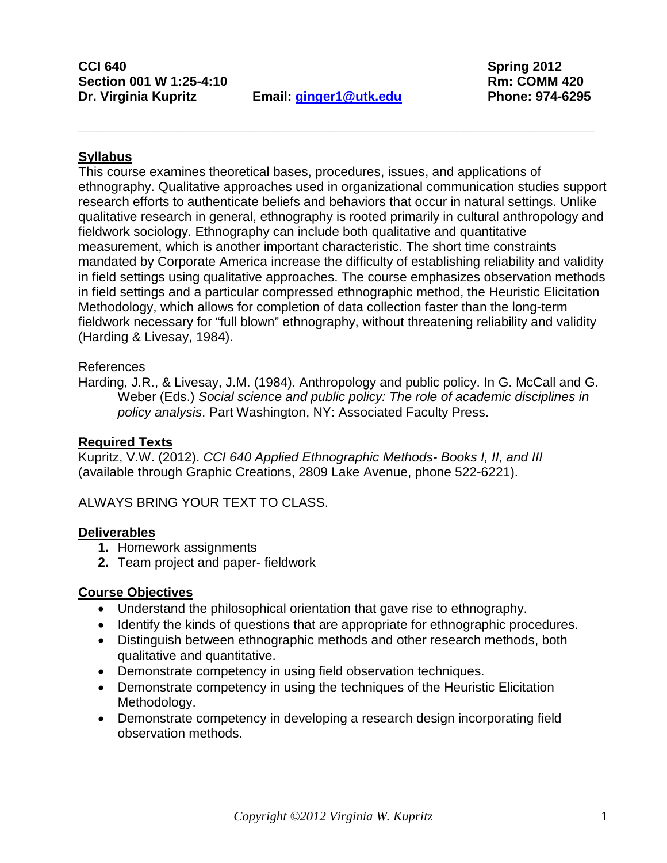**CCI 640 Spring 2012 Section 001 W 1:25-4:10 Rm: COMM 420 Dr. Virginia Kupritz Email: [ginger1@utk.edu](mailto:ginger1@utk.edu) Phone: 974-6295**

**\_\_\_\_\_\_\_\_\_\_\_\_\_\_\_\_\_\_\_\_\_\_\_\_\_\_\_\_\_\_\_\_\_\_\_\_\_\_\_\_\_\_\_\_\_\_\_\_\_\_\_\_\_\_\_\_\_\_\_\_\_\_\_\_\_\_\_\_\_\_\_**

#### **Syllabus**

This course examines theoretical bases, procedures, issues, and applications of ethnography. Qualitative approaches used in organizational communication studies support research efforts to authenticate beliefs and behaviors that occur in natural settings. Unlike qualitative research in general, ethnography is rooted primarily in cultural anthropology and fieldwork sociology. Ethnography can include both qualitative and quantitative measurement, which is another important characteristic. The short time constraints mandated by Corporate America increase the difficulty of establishing reliability and validity in field settings using qualitative approaches. The course emphasizes observation methods in field settings and a particular compressed ethnographic method, the Heuristic Elicitation Methodology, which allows for completion of data collection faster than the long-term fieldwork necessary for "full blown" ethnography, without threatening reliability and validity (Harding & Livesay, 1984).

#### References

Harding, J.R., & Livesay, J.M. (1984). Anthropology and public policy. In G. McCall and G. Weber (Eds.) *Social science and public policy: The role of academic disciplines in policy analysis*. Part Washington, NY: Associated Faculty Press.

#### **Required Texts**

Kupritz, V.W. (2012). *CCI 640 Applied Ethnographic Methods- Books I, II, and III* (available through Graphic Creations, 2809 Lake Avenue, phone 522-6221).

ALWAYS BRING YOUR TEXT TO CLASS.

#### **Deliverables**

- **1.** Homework assignments
- **2.** Team project and paper- fieldwork

#### **Course Objectives**

- Understand the philosophical orientation that gave rise to ethnography.
- Identify the kinds of questions that are appropriate for ethnographic procedures.
- Distinguish between ethnographic methods and other research methods, both qualitative and quantitative.
- Demonstrate competency in using field observation techniques.
- Demonstrate competency in using the techniques of the Heuristic Elicitation Methodology.
- Demonstrate competency in developing a research design incorporating field observation methods.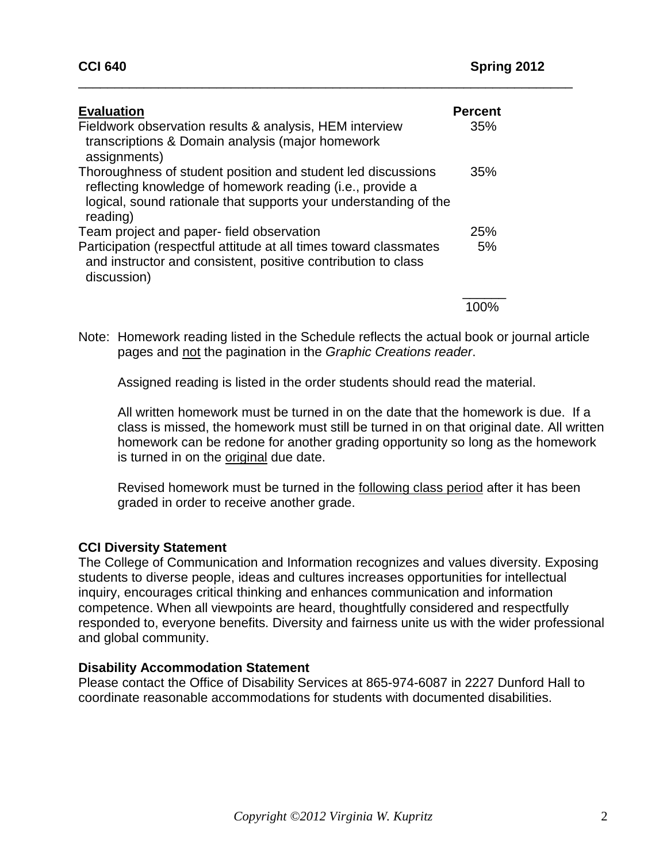| <b>Evaluation</b><br>Fieldwork observation results & analysis, HEM interview<br>transcriptions & Domain analysis (major homework<br>assignments)                                                          | <b>Percent</b><br>35% |
|-----------------------------------------------------------------------------------------------------------------------------------------------------------------------------------------------------------|-----------------------|
| Thoroughness of student position and student led discussions<br>reflecting knowledge of homework reading (i.e., provide a<br>logical, sound rationale that supports your understanding of the<br>reading) | 35%                   |
| Team project and paper- field observation                                                                                                                                                                 | 25%                   |
| Participation (respectful attitude at all times toward classmates<br>and instructor and consistent, positive contribution to class<br>discussion)                                                         | 5%                    |
|                                                                                                                                                                                                           |                       |

\_\_\_\_\_\_\_\_\_\_\_\_\_\_\_\_\_\_\_\_\_\_\_\_\_\_\_\_\_\_\_\_\_\_\_\_\_\_\_\_\_\_\_\_\_\_\_\_\_\_\_\_\_\_\_\_\_\_\_\_\_\_\_\_\_\_\_\_

Note: Homework reading listed in the Schedule reflects the actual book or journal article pages and not the pagination in the *Graphic Creations reader*.

Assigned reading is listed in the order students should read the material.

All written homework must be turned in on the date that the homework is due. If a class is missed, the homework must still be turned in on that original date. All written homework can be redone for another grading opportunity so long as the homework is turned in on the original due date.

Revised homework must be turned in the following class period after it has been graded in order to receive another grade.

### **CCI Diversity Statement**

The College of Communication and Information recognizes and values diversity. Exposing students to diverse people, ideas and cultures increases opportunities for intellectual inquiry, encourages critical thinking and enhances communication and information competence. When all viewpoints are heard, thoughtfully considered and respectfully responded to, everyone benefits. Diversity and fairness unite us with the wider professional and global community.

#### **Disability Accommodation Statement**

Please contact the Office of Disability Services at 865-974-6087 in 2227 Dunford Hall to coordinate reasonable accommodations for students with documented disabilities.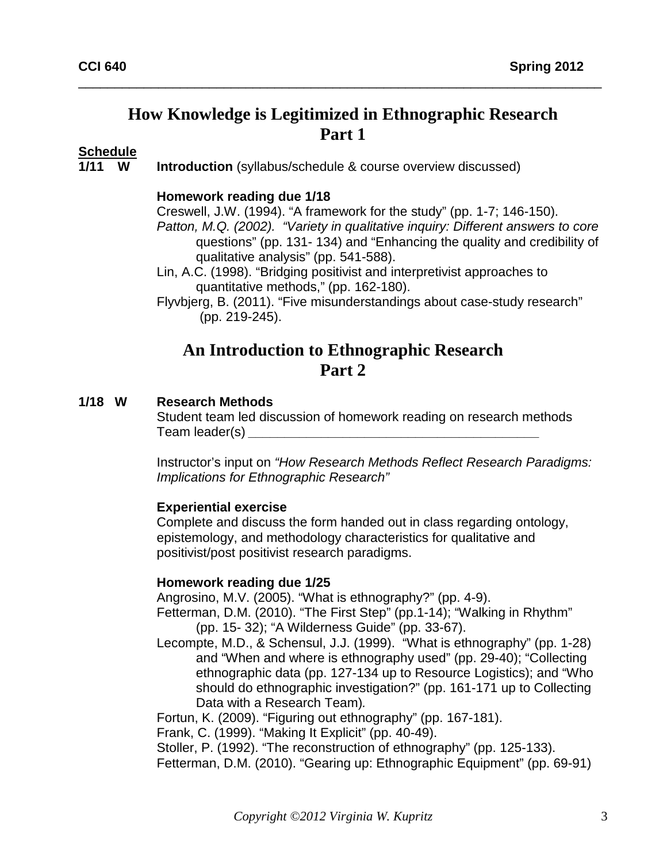# **How Knowledge is Legitimized in Ethnographic Research Part 1**

\_\_\_\_\_\_\_\_\_\_\_\_\_\_\_\_\_\_\_\_\_\_\_\_\_\_\_\_\_\_\_\_\_\_\_\_\_\_\_\_\_\_\_\_\_\_\_\_\_\_\_\_\_\_\_\_\_\_\_\_\_\_\_\_\_\_\_\_\_\_\_\_

# Schedule<br>1/11 W

**Introduction** (syllabus/schedule & course overview discussed)

#### **Homework reading due 1/18**

Creswell, J.W. (1994). "A framework for the study" (pp. 1-7; 146-150). *Patton, M.Q. (2002). "Variety in qualitative inquiry: Different answers to core* questions" (pp. 131- 134) and "Enhancing the quality and credibility of qualitative analysis" (pp. 541-588).

Lin, A.C. (1998). "Bridging positivist and interpretivist approaches to quantitative methods," (pp. 162-180).

Flyvbjerg, B. (2011). "Five misunderstandings about case-study research" (pp. 219-245).

# **An Introduction to Ethnographic Research Part 2**

#### **1/18 W Research Methods**

Student team led discussion of homework reading on research methods Team leader(s) *\_\_\_\_\_\_\_\_\_\_\_\_\_\_\_\_\_\_\_\_\_\_\_\_\_\_\_\_\_\_\_\_\_\_\_\_\_\_\_\_*

Instructor's input on *"How Research Methods Reflect Research Paradigms: Implications for Ethnographic Research"* 

#### **Experiential exercise**

Complete and discuss the form handed out in class regarding ontology, epistemology, and methodology characteristics for qualitative and positivist/post positivist research paradigms.

#### **Homework reading due 1/25**

Angrosino, M.V. (2005). "What is ethnography?" (pp. 4-9).

- Fetterman, D.M. (2010). "The First Step" (pp.1-14); "Walking in Rhythm" (pp. 15- 32); "A Wilderness Guide" (pp. 33-67).
- Lecompte, M.D., & Schensul, J.J. (1999). "What is ethnography" (pp. 1-28) and "When and where is ethnography used" (pp. 29-40); "Collecting ethnographic data (pp. 127-134 up to Resource Logistics); and "Who should do ethnographic investigation?" (pp. 161-171 up to Collecting Data with a Research Team)*.*

Fortun, K. (2009). "Figuring out ethnography" (pp. 167-181).

Frank, C. (1999). "Making It Explicit" (pp. 40-49).

Stoller, P. (1992). "The reconstruction of ethnography" (pp. 125-133).

Fetterman, D.M. (2010). "Gearing up: Ethnographic Equipment" (pp. 69-91)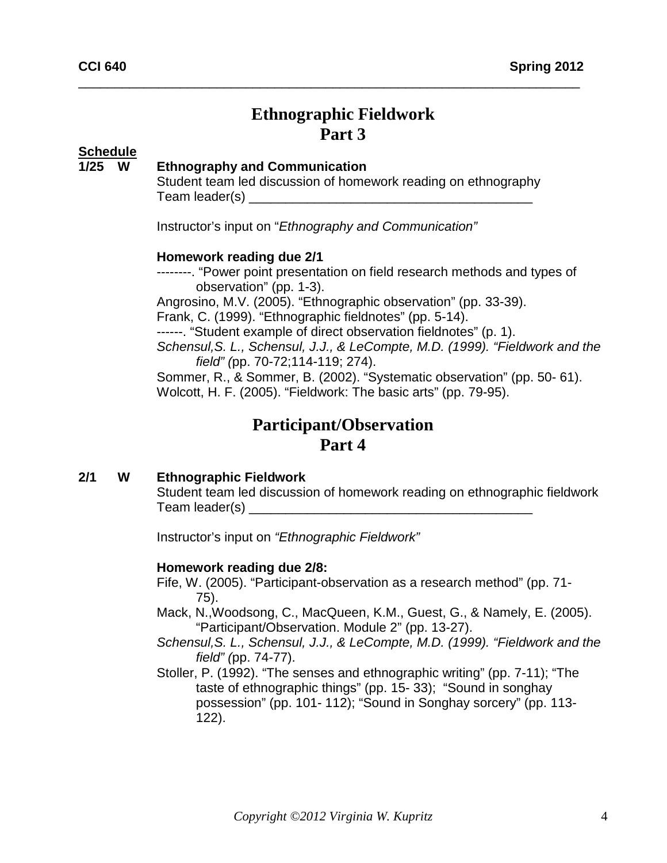# **Ethnographic Fieldwork Part 3**

\_\_\_\_\_\_\_\_\_\_\_\_\_\_\_\_\_\_\_\_\_\_\_\_\_\_\_\_\_\_\_\_\_\_\_\_\_\_\_\_\_\_\_\_\_\_\_\_\_\_\_\_\_\_\_\_\_\_\_\_\_\_\_\_\_\_\_\_\_

# **Schedule**

#### **125 Ethnography and Communication**

Student team led discussion of homework reading on ethnography Team leader(s)

Instructor's input on "*Ethnography and Communication"* 

#### **Homework reading due 2/1**

--------. "Power point presentation on field research methods and types of observation" (pp. 1-3).

Angrosino, M.V. (2005). "Ethnographic observation" (pp. 33-39).

Frank, C. (1999). "Ethnographic fieldnotes" (pp. 5-14).

------. "Student example of direct observation fieldnotes" (p. 1).

*Schensul,S. L., Schensul, J.J., & LeCompte, M.D. (1999). "Fieldwork and the field" (*pp. 70-72;114-119; 274).

Sommer, R., & Sommer, B. (2002). "Systematic observation" (pp. 50- 61). Wolcott, H. F. (2005). "Fieldwork: The basic arts" (pp. 79-95).

# **Participant/Observation Part 4**

#### **2/1 W Ethnographic Fieldwork**

Student team led discussion of homework reading on ethnographic fieldwork Team leader(s)

Instructor's input on *"Ethnographic Fieldwork"*

#### **Homework reading due 2/8:**

Fife, W. (2005). "Participant-observation as a research method" (pp. 71- 75).

- Mack, N.,Woodsong, C., MacQueen, K.M., Guest, G., & Namely, E. (2005). "Participant/Observation. Module 2" (pp. 13-27).
- *Schensul,S. L., Schensul, J.J., & LeCompte, M.D. (1999). "Fieldwork and the field" (*pp. 74-77).
- Stoller, P. (1992). "The senses and ethnographic writing" (pp. 7-11); "The taste of ethnographic things" (pp. 15- 33); "Sound in songhay possession" (pp. 101- 112); "Sound in Songhay sorcery" (pp. 113- 122).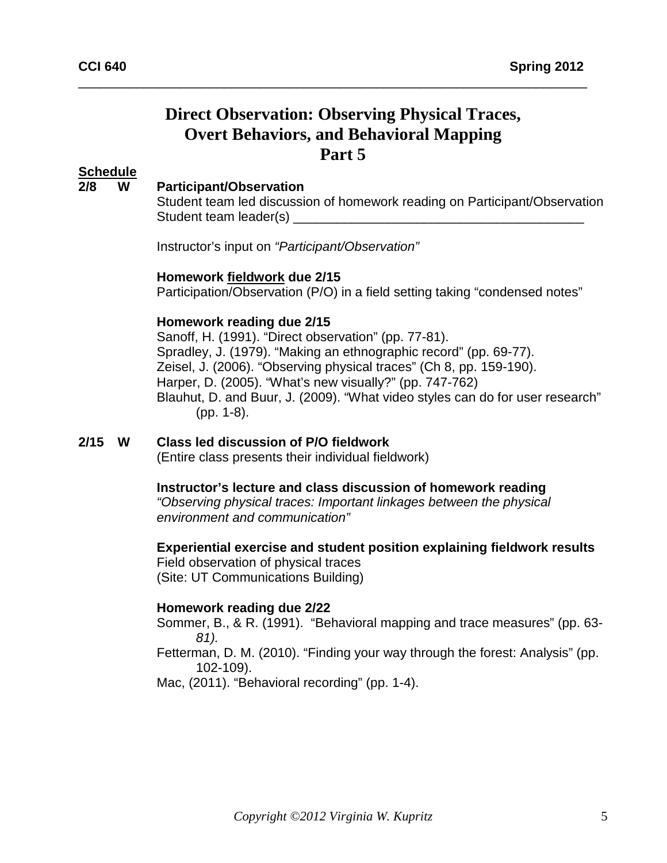# **Direct Observation: Observing Physical Traces, Overt Behaviors, and Behavioral Mapping Part 5**

\_\_\_\_\_\_\_\_\_\_\_\_\_\_\_\_\_\_\_\_\_\_\_\_\_\_\_\_\_\_\_\_\_\_\_\_\_\_\_\_\_\_\_\_\_\_\_\_\_\_\_\_\_\_\_\_\_\_\_\_\_\_\_\_\_\_\_\_\_\_

#### **Schedule**

#### **2/8 W Participant/Observation**

Student team led discussion of homework reading on Participant/Observation Student team leader(s)

Instructor's input on *"Participant/Observation"*

#### **Homework fieldwork due 2/15**

Participation/Observation (P/O) in a field setting taking "condensed notes"

#### **Homework reading due 2/15**

Sanoff, H. (1991). "Direct observation" (pp. 77-81). Spradley, J. (1979). "Making an ethnographic record" (pp. 69-77). Zeisel, J. (2006). "Observing physical traces" (Ch 8, pp. 159-190). Harper, D. (2005). "What's new visually?" (pp. 747-762) Blauhut, D. and Buur, J. (2009). "What video styles can do for user research" (pp. 1-8).

# **2/15 W Class led discussion of P/O fieldwork**

(Entire class presents their individual fieldwork)

#### **Instructor's lecture and class discussion of homework reading**

*"Observing physical traces: Important linkages between the physical environment and communication"*

**Experiential exercise and student position explaining fieldwork results** Field observation of physical traces

(Site: UT Communications Building)

#### **Homework reading due 2/22**

Sommer, B., & R. (1991). "Behavioral mapping and trace measures" (pp. 63- *81).* 

Fetterman, D. M. (2010). "Finding your way through the forest: Analysis" (pp. 102-109).

Mac, (2011). "Behavioral recording" (pp. 1-4).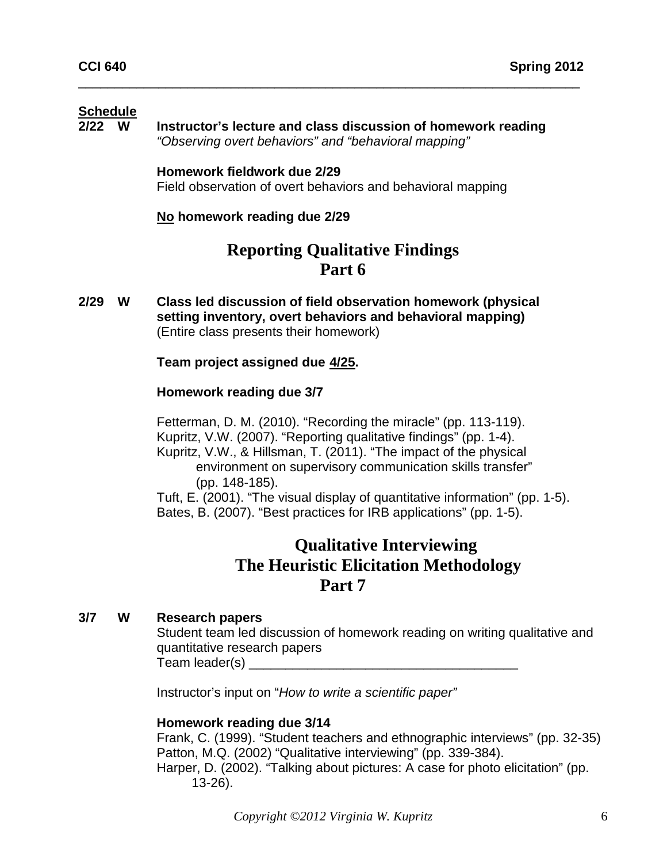# Schedule<br>2/22 W

**Instructor's lecture and class discussion of homework reading** *"Observing overt behaviors" and "behavioral mapping"*

\_\_\_\_\_\_\_\_\_\_\_\_\_\_\_\_\_\_\_\_\_\_\_\_\_\_\_\_\_\_\_\_\_\_\_\_\_\_\_\_\_\_\_\_\_\_\_\_\_\_\_\_\_\_\_\_\_\_\_\_\_\_\_\_\_\_\_\_\_

**Homework fieldwork due 2/29** Field observation of overt behaviors and behavioral mapping

#### **No homework reading due 2/29**

# **Reporting Qualitative Findings Part 6**

**2/29 W Class led discussion of field observation homework (physical setting inventory, overt behaviors and behavioral mapping)**  (Entire class presents their homework)

#### **Team project assigned due 4/25.**

#### **Homework reading due 3/7**

Fetterman, D. M. (2010). "Recording the miracle" (pp. 113-119). Kupritz, V.W. (2007). "Reporting qualitative findings" (pp. 1-4). Kupritz, V.W., & Hillsman, T. (2011). "The impact of the physical environment on supervisory communication skills transfer" (pp. 148-185).

Tuft, E. (2001). "The visual display of quantitative information" (pp. 1-5). Bates, B. (2007). "Best practices for IRB applications" (pp. 1-5).

### **Qualitative Interviewing The Heuristic Elicitation Methodology Part 7**

#### **3/7 W Research papers**

Student team led discussion of homework reading on writing qualitative and quantitative research papers Team leader(s) **Example 20** 

Instructor's input on "*How to write a scientific paper"*

#### **Homework reading due 3/14**

Frank, C. (1999). "Student teachers and ethnographic interviews" (pp. 32-35) Patton, M.Q. (2002) "Qualitative interviewing" (pp. 339-384). Harper, D. (2002). "Talking about pictures: A case for photo elicitation" (pp.

13-26).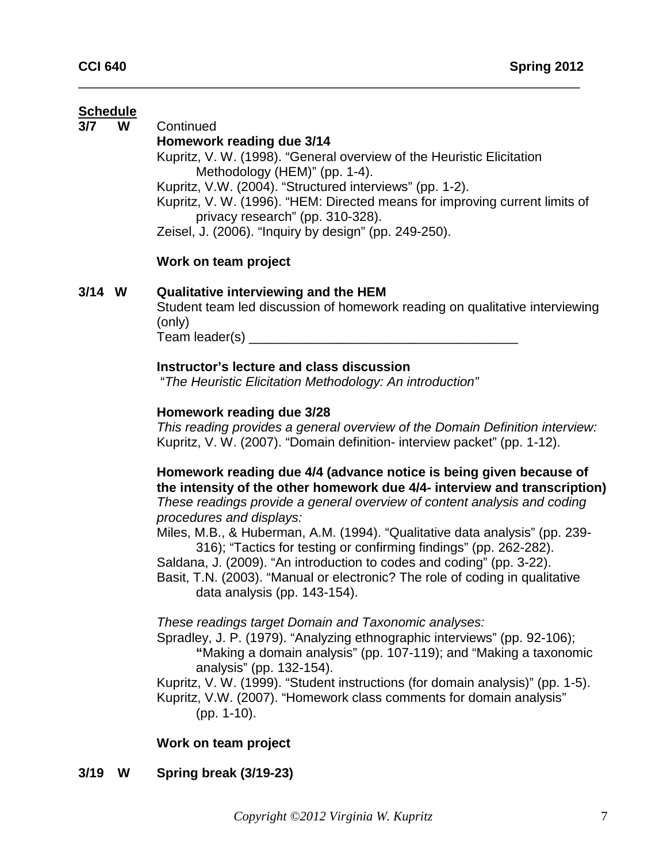# Schedule<br>3/7 W

**3/7 W** Continued

#### **Homework reading due 3/14**

Kupritz, V. W. (1998). "General overview of the Heuristic Elicitation Methodology (HEM)" (pp. 1-4).

Kupritz, V.W. (2004). "Structured interviews" (pp. 1-2).

\_\_\_\_\_\_\_\_\_\_\_\_\_\_\_\_\_\_\_\_\_\_\_\_\_\_\_\_\_\_\_\_\_\_\_\_\_\_\_\_\_\_\_\_\_\_\_\_\_\_\_\_\_\_\_\_\_\_\_\_\_\_\_\_\_\_\_\_\_

Kupritz, V. W. (1996). "HEM: Directed means for improving current limits of privacy research" (pp. 310-328).

Zeisel, J. (2006). "Inquiry by design" (pp. 249-250).

#### **Work on team project**

#### **3/14 W Qualitative interviewing and the HEM**

Student team led discussion of homework reading on qualitative interviewing (only) Team leader(s) \_\_\_\_\_\_\_\_\_\_\_\_\_\_\_\_\_\_\_\_\_\_\_\_\_\_\_\_\_\_\_\_\_\_\_\_\_

#### **Instructor's lecture and class discussion**

"*The Heuristic Elicitation Methodology: An introduction"*

#### **Homework reading due 3/28**

*This reading provides a general overview of the Domain Definition interview:* Kupritz, V. W. (2007). "Domain definition- interview packet" (pp. 1-12).

**Homework reading due 4/4 (advance notice is being given because of the intensity of the other homework due 4/4- interview and transcription)** *These readings provide a general overview of content analysis and coding procedures and displays:* 

Miles, M.B., & Huberman, A.M. (1994). "Qualitative data analysis" (pp. 239- 316); "Tactics for testing or confirming findings" (pp. 262-282).

Saldana, J. (2009). "An introduction to codes and coding" (pp. 3-22). Basit, T.N. (2003). "Manual or electronic? The role of coding in qualitative data analysis (pp. 143-154).

#### *These readings target Domain and Taxonomic analyses:*

Spradley, J. P. (1979). "Analyzing ethnographic interviews" (pp. 92-106); **"**Making a domain analysis" (pp. 107-119); and "Making a taxonomic analysis" (pp. 132-154).

Kupritz, V. W. (1999). "Student instructions (for domain analysis)" (pp. 1-5). Kupritz, V.W. (2007). "Homework class comments for domain analysis" (pp. 1-10).

#### **Work on team project**

**3/19 W Spring break (3/19-23)**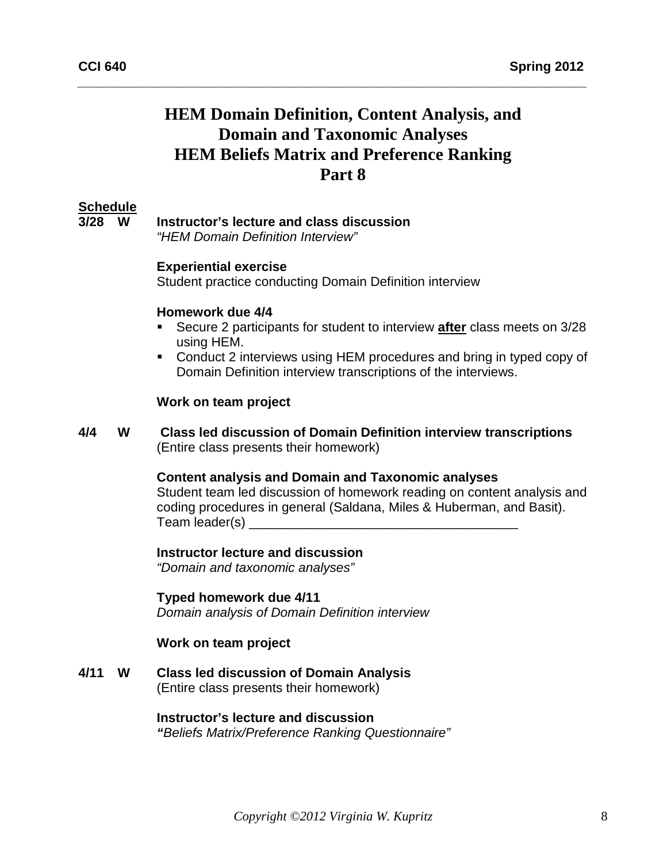# **HEM Domain Definition, Content Analysis, and Domain and Taxonomic Analyses HEM Beliefs Matrix and Preference Ranking Part 8**

*\_\_\_\_\_\_\_\_\_\_\_\_\_\_\_\_\_\_\_\_\_\_\_\_\_\_\_\_\_\_\_\_\_\_\_\_\_\_\_\_\_\_\_\_\_\_\_\_\_\_\_\_\_\_\_\_\_\_\_\_\_\_\_\_\_\_\_\_\_\_*

#### **Schedule**

**3/28 W Instructor's lecture and class discussion**

*"HEM Domain Definition Interview"*

#### **Experiential exercise**

Student practice conducting Domain Definition interview

#### **Homework due 4/4**

- Secure 2 participants for student to interview **after** class meets on 3/28 using HEM.
- Conduct 2 interviews using HEM procedures and bring in typed copy of Domain Definition interview transcriptions of the interviews.

#### **Work on team project**

**4/4 W Class led discussion of Domain Definition interview transcriptions**  (Entire class presents their homework)

#### **Content analysis and Domain and Taxonomic analyses**

Student team led discussion of homework reading on content analysis and coding procedures in general (Saldana, Miles & Huberman, and Basit). Team leader(s)

#### **Instructor lecture and discussion**

*"Domain and taxonomic analyses"*

#### **Typed homework due 4/11**

*Domain analysis of Domain Definition interview*

#### **Work on team project**

**4/11 W Class led discussion of Domain Analysis**  (Entire class presents their homework)

# **Instructor's lecture and discussion**

*"Beliefs Matrix/Preference Ranking Questionnaire"*